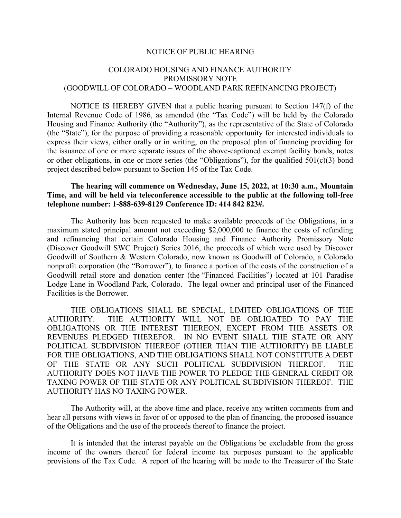## NOTICE OF PUBLIC HEARING

## COLORADO HOUSING AND FINANCE AUTHORITY PROMISSORY NOTE (GOODWILL OF COLORADO – WOODLAND PARK REFINANCING PROJECT)

NOTICE IS HEREBY GIVEN that a public hearing pursuant to Section 147(f) of the Internal Revenue Code of 1986, as amended (the "Tax Code") will be held by the Colorado Housing and Finance Authority (the "Authority"), as the representative of the State of Colorado (the "State"), for the purpose of providing a reasonable opportunity for interested individuals to express their views, either orally or in writing, on the proposed plan of financing providing for the issuance of one or more separate issues of the above-captioned exempt facility bonds, notes or other obligations, in one or more series (the "Obligations"), for the qualified  $501(c)(3)$  bond project described below pursuant to Section 145 of the Tax Code.

## The hearing will commence on Wednesday, June 15, 2022, at 10:30 a.m., Mountain Time, and will be held via teleconference accessible to the public at the following toll-free telephone number: 1-888-639-8129 Conference ID: 414 842 823#.

The Authority has been requested to make available proceeds of the Obligations, in a maximum stated principal amount not exceeding \$2,000,000 to finance the costs of refunding and refinancing that certain Colorado Housing and Finance Authority Promissory Note (Discover Goodwill SWC Project) Series 2016, the proceeds of which were used by Discover Goodwill of Southern & Western Colorado, now known as Goodwill of Colorado, a Colorado nonprofit corporation (the "Borrower"), to finance a portion of the costs of the construction of a Goodwill retail store and donation center (the "Financed Facilities") located at 101 Paradise Lodge Lane in Woodland Park, Colorado. The legal owner and principal user of the Financed Facilities is the Borrower.

THE OBLIGATIONS SHALL BE SPECIAL, LIMITED OBLIGATIONS OF THE AUTHORITY. THE AUTHORITY WILL NOT BE OBLIGATED TO PAY THE OBLIGATIONS OR THE INTEREST THEREON, EXCEPT FROM THE ASSETS OR REVENUES PLEDGED THEREFOR. IN NO EVENT SHALL THE STATE OR ANY POLITICAL SUBDIVISION THEREOF (OTHER THAN THE AUTHORITY) BE LIABLE FOR THE OBLIGATIONS, AND THE OBLIGATIONS SHALL NOT CONSTITUTE A DEBT OF THE STATE OR ANY SUCH POLITICAL SUBDIVISION THEREOF. THE AUTHORITY DOES NOT HAVE THE POWER TO PLEDGE THE GENERAL CREDIT OR TAXING POWER OF THE STATE OR ANY POLITICAL SUBDIVISION THEREOF. THE AUTHORITY HAS NO TAXING POWER.

The Authority will, at the above time and place, receive any written comments from and hear all persons with views in favor of or opposed to the plan of financing, the proposed issuance of the Obligations and the use of the proceeds thereof to finance the project.

It is intended that the interest payable on the Obligations be excludable from the gross income of the owners thereof for federal income tax purposes pursuant to the applicable provisions of the Tax Code. A report of the hearing will be made to the Treasurer of the State